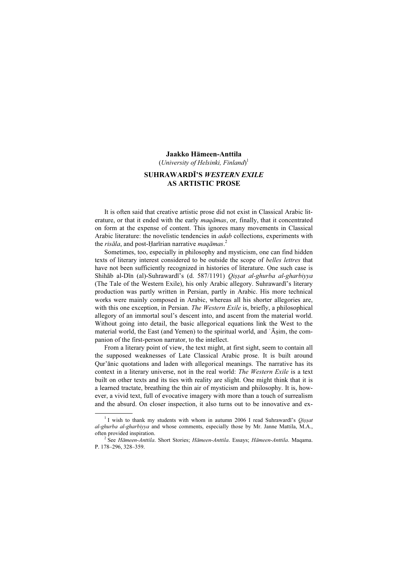#### Jaakko Hämeen-Anttila

(University of Helsinki, Finland)<sup>1</sup>

# SUHRAWARDĪ'S WESTERN EXILE AS ARTISTIC PROSE

It is often said that creative artistic prose did not exist in Classical Arabic literature, or that it ended with the early *magamas*, or, finally, that it concentrated on form at the expense of content. This ignores many movements in Classical Arabic literature: the novelistic tendencies in *adab* collections, experiments with the *risāla*, and post-Ḥarīrian narrative *maqāmas*.<sup>2</sup>

Sometimes, too, especially in philosophy and mysticism, one can find hidden texts of literary interest considered to be outside the scope of belles lettres that have not been sufficiently recognized in histories of literature. One such case is Shihāb al-Dīn (al)-Suhrawardī's (d. 587/1191) *Oissat al-ghurba al-gharbiyya* (The Tale of the Western Exile), his only Arabic allegory. Suhrawardī's literary production was partly written in Persian, partly in Arabic. His more technical works were mainly composed in Arabic, whereas all his shorter allegories are, with this one exception, in Persian. The Western Exile is, briefly, a philosophical allegory of an immortal soul's descent into, and ascent from the material world. Without going into detail, the basic allegorical equations link the West to the material world, the East (and Yemen) to the spiritual world, and ʿĀṣim, the companion of the first-person narrator, to the intellect.

From a literary point of view, the text might, at first sight, seem to contain all the supposed weaknesses of Late Classical Arabic prose. It is built around Qur'ānic quotations and laden with allegorical meanings. The narrative has its context in a literary universe, not in the real world: The Western Exile is a text built on other texts and its ties with reality are slight. One might think that it is a learned tractate, breathing the thin air of mysticism and philosophy. It is, however, a vivid text, full of evocative imagery with more than a touch of surrealism and the absurd. On closer inspection, it also turns out to be innovative and ex-

 $\frac{1}{1}$ <sup>1</sup> I wish to thank my students with whom in autumn 2006 I read Suhrawardī's *Oissat* al-ghurba al-gharbiyya and whose comments, especially those by Mr. Janne Mattila, M.A., often provided inspiration. <sup>2</sup>

<sup>&</sup>lt;sup>2</sup> See Hämeen-Anttila. Short Stories; Hämeen-Anttila. Essays; Hämeen-Anttila. Maqama. P. 178–296, 328–359.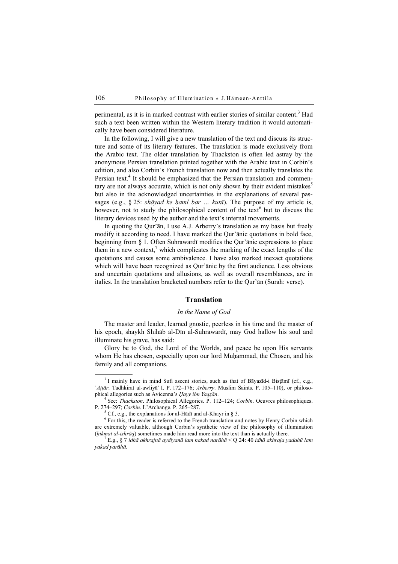perimental, as it is in marked contrast with earlier stories of similar content.<sup>3</sup> Had such a text been written within the Western literary tradition it would automatically have been considered literature.

In the following, I will give a new translation of the text and discuss its structure and some of its literary features. The translation is made exclusively from the Arabic text. The older translation by Thackston is often led astray by the anonymous Persian translation printed together with the Arabic text in Corbin's edition, and also Corbin's French translation now and then actually translates the Persian text.<sup>4</sup> It should be emphasized that the Persian translation and commentary are not always accurate, which is not only shown by their evident mistakes $\delta$ but also in the acknowledged uncertainties in the explanations of several passages (e.g.,  $\S 25$ : shāyad ke ḥaml bar ... kunī). The purpose of my article is, however, not to study the philosophical content of the text<sup>6</sup> but to discuss the literary devices used by the author and the text's internal movements.

In quoting the Qur'ān, I use A.J. Arberry's translation as my basis but freely modify it according to need. I have marked the Qur'ānic quotations in bold face, beginning from § 1. Often Suhrawardī modifies the Qur'ānic expressions to place them in a new context,<sup>7</sup> which complicates the marking of the exact lengths of the quotations and causes some ambivalence. I have also marked inexact quotations which will have been recognized as Qur'ānic by the first audience. Less obvious and uncertain quotations and allusions, as well as overall resemblances, are in italics. In the translation bracketed numbers refer to the Qur'ān (Surah: verse).

## Translation

#### In the Name of God

The master and leader, learned gnostic, peerless in his time and the master of his epoch, shaykh Shihāb al-Dīn al-Suhrawardī, may God hallow his soul and illuminate his grave, has said:

Glory be to God, the Lord of the Worlds, and peace be upon His servants whom He has chosen, especially upon our lord Muḥammad, the Chosen, and his family and all companions.

 $3$  I mainly have in mind Sufi ascent stories, such as that of Bayazīd-i Bistamī (cf., e.g., 'Attār. Tadhkirat al-awliyā' I. P. 172–176; Arberry. Muslim Saints. P. 105–110), or philosophical allegories such as Avicenna's Hayy ibn Yaqzān.

 $4$  See: *Thackston*. Philosophical Allegories. P. 112–124; *Corbin*. Oeuvres philosophiques. P. 274-297; Corbin. L'Archange. P. 265-287.

Cf., e.g., the explanations for al-H $\overline{a}$ d $\overline{a}$  and al-Khayr in § 3.

 $6$  For this, the reader is referred to the French translation and notes by Henry Corbin which are extremely valuable, although Corbin's synthetic view of the philosophy of illumination  $(hikmat al-shrāq)$  sometimes made him read more into the text than is actually there.

 $^7$  E.g., § 7 idhā akhrajnā aydiyanā lam nakad narāhā < Q 24: 40 idhā akhraja yadahū lam yakad yarāhā.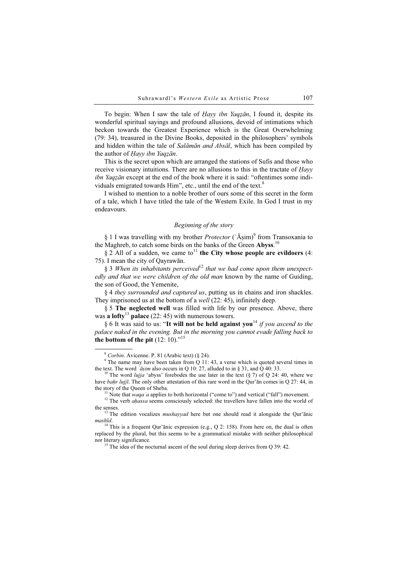To begin: When I saw the tale of *Hayy ibn Yaqzān*, I found it, despite its wonderful spiritual sayings and profound allusions, devoid of intimations which beckon towards the Greatest Experience which is the Great Overwhelming (79: 34), treasured in the Divine Books, deposited in the philosophers' symbols and hidden within the tale of *Salāmān and Absāl*, which has been compiled by the author of Hayy ibn Yaqzān.

This is the secret upon which are arranged the stations of Sufis and those who receive visionary intuitions. There are no allusions to this in the tractate of Hayy ibn Yaqzān except at the end of the book where it is said: "oftentimes some individuals emigrated towards Him", etc., until the end of the text. $8$ 

I wished to mention to a noble brother of ours some of this secret in the form of a tale, which I have titled the tale of the Western Exile. In God I trust in my endeavours.

#### Beginning of the story

§ 1 I was travelling with my brother *Protector* ('Aṣim)<sup>9</sup> from Transoxania to the Maghreb, to catch some birds on the banks of the Green Abyss.<sup>10</sup>

 $§$  2 All of a sudden, we came to<sup>11</sup> the City whose people are evildoers (4: 75). I mean the city of Qayrawān.

§ 3 When its inhabitants perceived<sup>12</sup> that we had come upon them unexpectedly and that we were children of the old man known by the name of Guiding, the son of Good, the Yemenite,

§ 4 they surrounded and captured us, putting us in chains and iron shackles. They imprisoned us at the bottom of a *well* (22: 45), infinitely deep.

§ 5 The neglected well was filled with life by our presence. Above, there was a lofty<sup>13</sup> palace (22: 45) with numerous towers.

§ 6 It was said to us: "It will not be held against you<sup>14</sup> if you ascend to the palace naked in the evening. But in the morning you cannot evade falling back to the bottom of the pit  $(12: 10)^{15}$ 

 $8$  Corbin. Avicenne. P. 81 (Arabic text) ( $\S$  24).

<sup>&</sup>lt;sup>9</sup> The name may have been taken from  $\ddot{Q}$  11: 43, a verse which is quoted several times in the text. The word ' $\ddot{a}$ sim also occurs in Q 10: 27, alluded to in § 31, and Q 40: 33.

<sup>&</sup>lt;sup>10</sup> The word *luiia* 'abyss' forebodes the use later in the text (§ 7) of O 24: 40, where we have *baḥr lujjī*. The only other attestation of this rare word in the Qur'ān comes in Q 27: 44, in the story of the Oueen of Sheba.

<sup>&</sup>lt;sup>11</sup> Note that waqa<sup>'</sup>a applies to both horizontal ("come to") and vertical ("fall") movement. <sup>12</sup> The verb *ahassa* seems consciously selected: the travellers have fallen into the world of

the senses.<br><sup>13</sup> The edition vocalizes *mushayyad* here but one should read it alongside the Qur'ānic

mashīd.<br><sup>14</sup> This is a frequent Qur'ānic expression (e.g., Q 2: 158). From here on, the dual is often

replaced by the plural, but this seems to be a grammatical mistake with neither philosophical nor literary significance.<br><sup>15</sup> The idea of the nocturnal ascent of the soul during sleep derives from O 39: 42.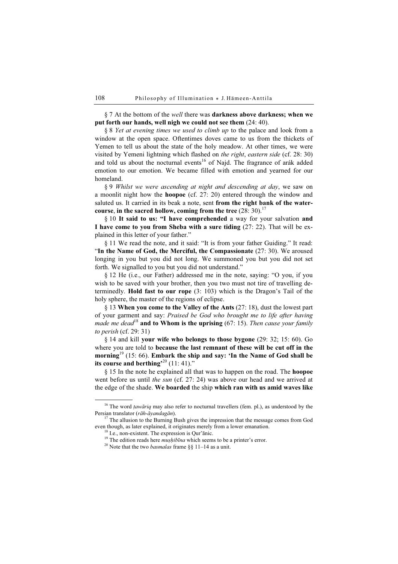# § 7 At the bottom of the *well* there was **darkness above darkness; when we** put forth our hands, well nigh we could not see them (24: 40).

§ 8 Yet at evening times we used to climb up to the palace and look from a window at the open space. Oftentimes doves came to us from the thickets of Yemen to tell us about the state of the holy meadow. At other times, we were visited by Yemeni lightning which flashed on the right, eastern side (cf. 28: 30) and told us about the nocturnal events<sup>16</sup> of Najd. The fragrance of arák added emotion to our emotion. We became filled with emotion and yearned for our homeland.

§ 9 Whilst we were ascending at night and descending at day, we saw on a moonlit night how the hoopoe (cf. 27: 20) entered through the window and saluted us. It carried in its beak a note, sent from the right bank of the watercourse, in the sacred hollow, coming from the tree  $(28:30)^{17}$ 

§ 10 It said to us: "I have comprehended a way for your salvation and I have come to you from Sheba with a sure tiding (27: 22). That will be explained in this letter of your father."

§ 11 We read the note, and it said: "It is from your father Guiding." It read: "In the Name of God, the Merciful, the Compassionate (27: 30). We aroused longing in you but you did not long. We summoned you but you did not set forth. We signalled to you but you did not understand."

§ 12 He (i.e., our Father) addressed me in the note, saying: "O you, if you wish to be saved with your brother, then you two must not tire of travelling determinedly. Hold fast to our rope (3: 103) which is the Dragon's Tail of the holy sphere, the master of the regions of eclipse.

§ 13 When you come to the Valley of the Ants (27: 18), dust the lowest part of your garment and say: Praised be God who brought me to life after having made me dead<sup>18</sup> and to Whom is the uprising  $(67: 15)$ . Then cause your family to perish (cf. 29: 31)

§ 14 and kill your wife who belongs to those bygone (29: 32; 15: 60). Go where you are told to because the last remnant of these will be cut off in the morning<sup>19</sup> (15: 66). Embark the ship and say: 'In the Name of God shall be its course and berthing<sup> $20$ </sup> (11: 41)."

§ 15 In the note he explained all that was to happen on the road. The hoopoe went before us until the sun (cf. 27: 24) was above our head and we arrived at the edge of the shade. We boarded the ship which ran with us amid waves like

<sup>&</sup>lt;sup>16</sup> The word *tawāriq* may also refer to nocturnal travellers (fem. pl.), as understood by the Persian translator (*rāh-āvandagān*).

 $17$  The allusion to the Burning Bush gives the impression that the message comes from God even though, as later explained, it originates merely from a lower emanation. <sup>18</sup> I.e., non-existent. The expression is Qur'ānic.

<sup>&</sup>lt;sup>19</sup> The edition reads here *muṣḥibīna* which seems to be a printer's error. <sup>20</sup> Note that the two *basmalas* frame §§ 11–14 as a unit.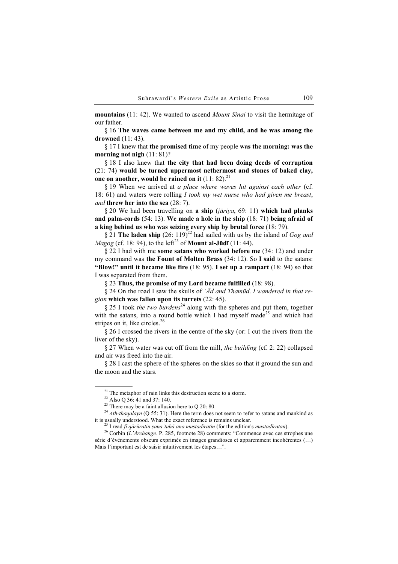mountains (11: 42). We wanted to ascend *Mount Sinai* to visit the hermitage of our father.

§ 16 The waves came between me and my child, and he was among the drowned (11: 43).

§ 17 I knew that the promised time of my people was the morning: was the morning not nigh  $(11: 81)$ ?

§ 18 I also knew that the city that had been doing deeds of corruption (21: 74) would be turned uppermost nethermost and stones of baked clay, one on another, would be rained on it  $(11: 82).^{21}$ 

§ 19 When we arrived at a place where waves hit against each other (cf. 18: 61) and waters were rolling  $I$  took my wet nurse who had given me breast, and threw her into the sea (28: 7).

§ 20 We had been travelling on a ship (*jāriya*, 69: 11) which had planks and palm-cords (54: 13). We made a hole in the ship (18: 71) being afraid of a king behind us who was seizing every ship by brutal force (18: 79).

§ 21 The laden ship (26: 119)<sup>22</sup> had sailed with us by the island of *Gog and* Magog (cf. 18: 94), to the left<sup>23</sup> of **Mount al-Jūdī** (11: 44).

§ 22 I had with me some satans who worked before me (34: 12) and under my command was the Fount of Molten Brass (34: 12). So I said to the satans: "Blow!" until it became like fire  $(18: 95)$ . I set up a rampart  $(18: 94)$  so that I was separated from them.

§ 23 Thus, the promise of my Lord became fulfilled (18: 98).

§ 24 On the road I saw the skulls of ' $\bar{A}d$  and Thamūd. I wandered in that region which was fallen upon its turrets (22: 45).

§ 25 I took the two burdens<sup>24</sup> along with the spheres and put them, together with the satans, into a round bottle which I had myself made<sup>25</sup> and which had stripes on it, like circles.<sup>26</sup>

§ 26 I crossed the rivers in the centre of the sky (or: I cut the rivers from the liver of the sky).

§ 27 When water was cut off from the mill, the building (cf. 2: 22) collapsed and air was freed into the air.

§ 28 I cast the sphere of the spheres on the skies so that it ground the sun and the moon and the stars.

 $21$  The metaphor of rain links this destruction scene to a storm.

<sup>22</sup> Also Q 36: 41 and 37: 140.

 $23$  There may be a faint allusion here to Q 20: 80.

<sup>&</sup>lt;sup>24</sup> Ath-thaqalayn (Q 55: 31). Here the term does not seem to refer to satans and mankind as it is usually understood. What the exact reference is remains unclear.

<sup>&</sup>lt;sup>25</sup> I read *fi qārūratin ṣana 'tuhā ana mustadīratin* (for the edition's *mustadīratan*).<br><sup>26</sup> Corbin (*L'Archange*. P. 285, footnote 28) comments: "Commence avec ces strophes une série d'événements obscurs exprimés en images grandioses et apparemment incohérentes (…) Mais l'important est de saisir intuitivement les étapes…".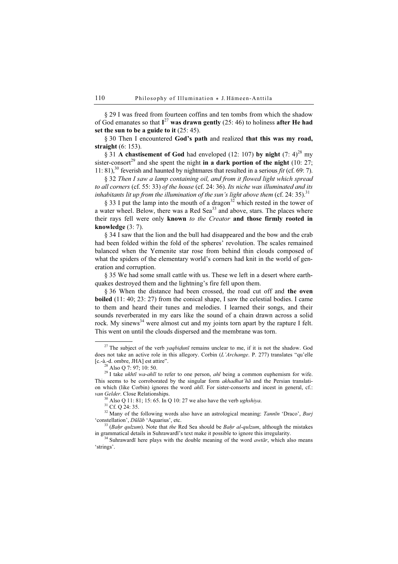§ 29 I was freed from fourteen coffins and ten tombs from which the shadow of God emanates so that  $I^{27}$  was drawn gently (25: 46) to holiness after He had set the sun to be a guide to it (25: 45).

§ 30 Then I encountered God's path and realized that this was my road, straight (6: 153).

§ 31 A chastisement of God had enveloped (12: 107) by night (7:  $4)^{28}$  my sister-consort<sup>29</sup> and she spent the night in a dark portion of the night (10: 27; 11: 81),<sup>30</sup> feverish and haunted by nightmares that resulted in a serious *fit* (cf. 69: 7).

§ 32 Then I saw a lamp containing oil, and from it flowed light which spread to all corners (cf. 55: 33) of the house (cf. 24: 36). Its niche was illuminated and its inhabitants lit up from the illumination of the sun's light above them (cf. 24: 35).<sup>31</sup>

§ 33 I put the lamp into the mouth of a dragon<sup>32</sup> which rested in the tower of a water wheel. Below, there was a Red Sea<sup>33</sup> and above, stars. The places where their rays fell were only known to the Creator and those firmly rooted in knowledge (3: 7).

§ 34 I saw that the lion and the bull had disappeared and the bow and the crab had been folded within the fold of the spheres' revolution. The scales remained balanced when the Yemenite star rose from behind thin clouds composed of what the spiders of the elementary world's corners had knit in the world of generation and corruption.

§ 35 We had some small cattle with us. These we left in a desert where earthquakes destroyed them and the lightning's fire fell upon them.

§ 36 When the distance had been crossed, the road cut off and the oven boiled (11: 40; 23: 27) from the conical shape, I saw the celestial bodies. I came to them and heard their tunes and melodies. I learned their songs, and their sounds reverberated in my ears like the sound of a chain drawn across a solid rock. My sinews<sup>34</sup> were almost cut and my joints torn apart by the rapture I felt. This went on until the clouds dispersed and the membrane was torn.

<sup>&</sup>lt;sup>27</sup> The subject of the verb *yaqbiḍunī* remains unclear to me, if it is not the shadow. God does not take an active role in this allegory. Corbin (L'Archange. P. 277) translates "qu'elle [c.-à.-d. ombre, JHA] est attire". <sup>28</sup> Also Q 7: 97; 10: 50.

<sup>&</sup>lt;sup>29</sup> I take *ukhtī wa-ahlī* to refer to one person, *ahl* being a common euphemism for wife. This seems to be corroborated by the singular form  $akhadhat'$ ha and the Persian translation which (like Corbin) ignores the word *ahlī*. For sister-consorts and incest in general, cf.: van Gelder. Close Relationships.<br><sup>30</sup> Also Q 11: 81; 15: 65. In Q 10: 27 we also have the verb *ughshiya*.<br><sup>31</sup> Cf. Q 24: 35.

<sup>&</sup>lt;sup>32</sup> Many of the following words also have an astrological meaning: *Tannīn* 'Draco', *Burj* 'constellation', *Dūlāb* 'Aquarius', etc.

<sup>&</sup>lt;sup>33</sup> (*Baḥr qulzum*). Note that *the* Red Sea should be *Baḥr al-qulzum*, although the mistakes in grammatical details in Suhrawardī's text make it possible to ignore this irregularity.

 $34$  Suhrawardī here plays with the double meaning of the word *awtār*, which also means 'strings'.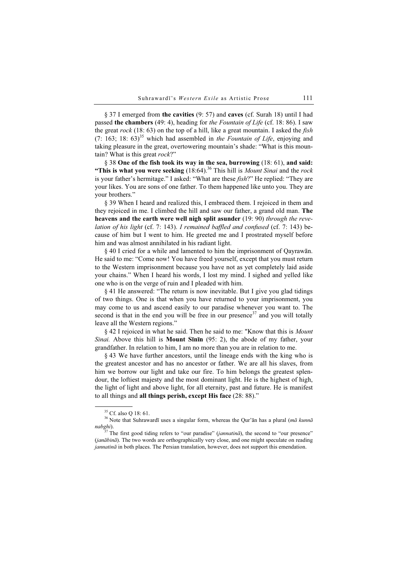§ 37 I emerged from the cavities (9: 57) and caves (cf. Surah 18) until I had passed the chambers (49: 4), heading for the Fountain of Life (cf. 18: 86). I saw the great  $rock (18: 63)$  on the top of a hill, like a great mountain. I asked the *fish* (7: 163; 18: 63)<sup>35</sup> which had assembled in the Fountain of Life, enjoying and taking pleasure in the great, overtowering mountain's shade: "What is this mountain? What is this great  $rock?$ "

§ 38 One of the fish took its way in the sea, burrowing (18: 61), and said: "This is what you were seeking  $(18:64)$ .<sup>36</sup> This hill is *Mount Sinai* and the rock is your father's hermitage." I asked: "What are these  $fish$ ?" He replied: "They are your likes. You are sons of one father. To them happened like unto you. They are your brothers."

§ 39 When I heard and realized this, I embraced them. I rejoiced in them and they rejoiced in me. I climbed the hill and saw our father, a grand old man. The heavens and the earth were well nigh split asunder (19: 90) through the revelation of his light (cf. 7: 143). I remained baffled and confused (cf. 7: 143) because of him but I went to him. He greeted me and I prostrated myself before him and was almost annihilated in his radiant light.

§ 40 I cried for a while and lamented to him the imprisonment of Qayrawān. He said to me: "Come now! You have freed yourself, except that you must return to the Western imprisonment because you have not as yet completely laid aside your chains." When I heard his words, I lost my mind. I sighed and yelled like one who is on the verge of ruin and I pleaded with him.

§ 41 He answered: "The return is now inevitable. But I give you glad tidings of two things. One is that when you have returned to your imprisonment, you may come to us and ascend easily to our paradise whenever you want to. The second is that in the end you will be free in our presence<sup>37</sup> and you will totally leave all the Western regions."

§ 42 I rejoiced in what he said. Then he said to me: "Know that this is Mount Sinai. Above this hill is **Mount Sīnīn** (95: 2), the abode of my father, your grandfather. In relation to him, I am no more than you are in relation to me.

§ 43 We have further ancestors, until the lineage ends with the king who is the greatest ancestor and has no ancestor or father. We are all his slaves, from him we borrow our light and take our fire. To him belongs the greatest splendour, the loftiest majesty and the most dominant light. He is the highest of high, the light of light and above light, for all eternity, past and future. He is manifest to all things and all things perish, except His face (28: 88)."

<sup>&</sup>lt;sup>35</sup> Cf. also O 18: 61.

<sup>&</sup>lt;sup>36</sup> Note that Suhrawardī uses a singular form, whereas the Qur'an has a plural ( $m\bar{a}$  kunnā nabghi).<br><sup>37</sup> The first good tiding refers to "our paradise" (*jannatinā*), the second to "our presence"

<sup>(</sup>janābinā). The two words are orthographically very close, and one might speculate on reading jannatinā in both places. The Persian translation, however, does not support this emendation.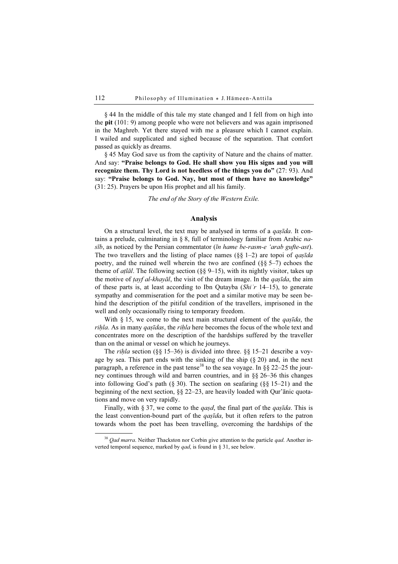§ 44 In the middle of this tale my state changed and I fell from on high into the pit (101: 9) among people who were not believers and was again imprisoned in the Maghreb. Yet there stayed with me a pleasure which I cannot explain. I wailed and supplicated and sighed because of the separation. That comfort passed as quickly as dreams.

§ 45 May God save us from the captivity of Nature and the chains of matter. And say: "Praise belongs to God. He shall show you His signs and you will recognize them. Thy Lord is not heedless of the things you do"  $(27: 93)$ . And say: "Praise belongs to God. Nay, but most of them have no knowledge" (31: 25). Prayers be upon His prophet and all his family.

The end of the Story of the Western Exile.

### Analysis

On a structural level, the text may be analysed in terms of a *qaṣīda*. It contains a prelude, culminating in § 8, full of terminology familiar from Arabic na $s\bar{v}b$ , as noticed by the Persian commentator ( $\bar{u}n$  hame be-rasm-e 'arab gufte-ast). The two travellers and the listing of place names  $(\S \S 1-2)$  are topoi of *qaṣīda* poetry, and the ruined well wherein the two are confined  $(\S \S 5-7)$  echoes the theme of *atlal*. The following section ( $\S$ § 9–15), with its nightly visitor, takes up the motive of  $t$ ayf al-khayāl, the visit of the dream image. In the *qasīda*, the aim of these parts is, at least according to Ibn Qutayba (Shi'r 14–15), to generate sympathy and commiseration for the poet and a similar motive may be seen behind the description of the pitiful condition of the travellers, imprisoned in the well and only occasionally rising to temporary freedom.

With  $\S$  15, we come to the next main structural element of the *qaṣīda*, the rihla. As in many qaṣīdas, the riḥla here becomes the focus of the whole text and concentrates more on the description of the hardships suffered by the traveller than on the animal or vessel on which he journeys.

The *rihla* section (§§ 15–36) is divided into three. §§ 15–21 describe a voyage by sea. This part ends with the sinking of the ship  $(\S 20)$  and, in the next paragraph, a reference in the past tense<sup>38</sup> to the sea voyage. In §§ 22–25 the journey continues through wild and barren countries, and in §§ 26–36 this changes into following God's path (§ 30). The section on seafaring (§§ 15–21) and the beginning of the next section, §§ 22–23, are heavily loaded with Qur'ānic quotations and move on very rapidly.

Finally, with § 37, we come to the *qasd*, the final part of the *qastida*. This is the least convention-bound part of the *qaṣīda*, but it often refers to the patron towards whom the poet has been travelling, overcoming the hardships of the

 $38$  *Oad marra*. Neither Thackston nor Corbin give attention to the particle *qad*. Another inverted temporal sequence, marked by *qad*, is found in § 31, see below.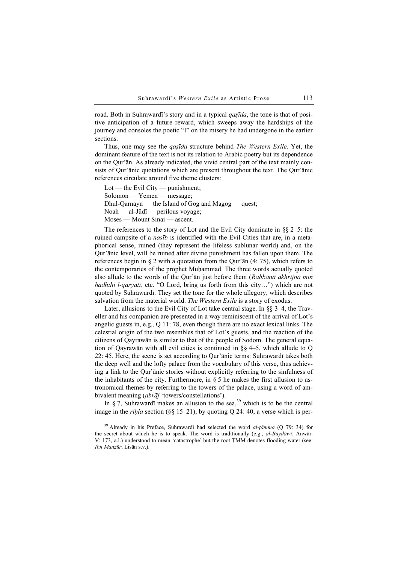road. Both in Suhrawardī's story and in a typical *qaṣīda*, the tone is that of positive anticipation of a future reward, which sweeps away the hardships of the journey and consoles the poetic "I" on the misery he had undergone in the earlier sections.

Thus, one may see the *qaṣīda* structure behind *The Western Exile*. Yet, the dominant feature of the text is not its relation to Arabic poetry but its dependence on the Qur'ān. As already indicated, the vivid central part of the text mainly consists of Qur'ānic quotations which are present throughout the text. The Qur'ānic references circulate around five theme clusters:

Lot — the Evil City — punishment; Solomon — Yemen — message; Dhul-Qarnayn — the Island of Gog and Magog — quest; Noah — al-Jūdī — perilous voyage; Moses — Mount Sinai — ascent.

The references to the story of Lot and the Evil City dominate in  $\S$ § 2–5: the ruined campsite of a nasīb is identified with the Evil Cities that are, in a metaphorical sense, ruined (they represent the lifeless sublunar world) and, on the Qur'ānic level, will be ruined after divine punishment has fallen upon them. The references begin in § 2 with a quotation from the Qur'ān (4: 75), which refers to the contemporaries of the prophet Muḥammad. The three words actually quoted also allude to the words of the Our'an just before them (Rabbanā akhrijnā min hādhihi l-qaryati, etc. "O Lord, bring us forth from this city...") which are not quoted by Suhrawardī. They set the tone for the whole allegory, which describes salvation from the material world. The Western Exile is a story of exodus.

Later, allusions to the Evil City of Lot take central stage. In §§ 3–4, the Traveller and his companion are presented in a way reminiscent of the arrival of Lot's angelic guests in, e.g., Q 11: 78, even though there are no exact lexical links. The celestial origin of the two resembles that of Lot's guests, and the reaction of the citizens of Qayrawān is similar to that of the people of Sodom. The general equation of Qayrawān with all evil cities is continued in §§ 4–5, which allude to Q 22: 45. Here, the scene is set according to Qur'ānic terms: Suhrawardī takes both the deep well and the lofty palace from the vocabulary of this verse, thus achieving a link to the Qur'ānic stories without explicitly referring to the sinfulness of the inhabitants of the city. Furthermore, in  $\S$  5 he makes the first allusion to astronomical themes by referring to the towers of the palace, using a word of ambivalent meaning (abrāj 'towers/constellations').

In  $\S$  7, Suhrawardī makes an allusion to the sea,<sup>39</sup> which is to be the central image in the *riḥla* section (§§ 15–21), by quoting Q 24: 40, a verse which is per-

 $39$  Already in his Preface, Suhrawardī had selected the word al-tāmma (Q 79: 34) for the secret about which he is to speak. The word is traditionally (e.g., al-Bayḍāwī. Anwār. V: 173, a.l.) understood to mean 'catastrophe' but the root ṬMM denotes flooding water (see: Ibn Manẓūr. Lisān s.v.).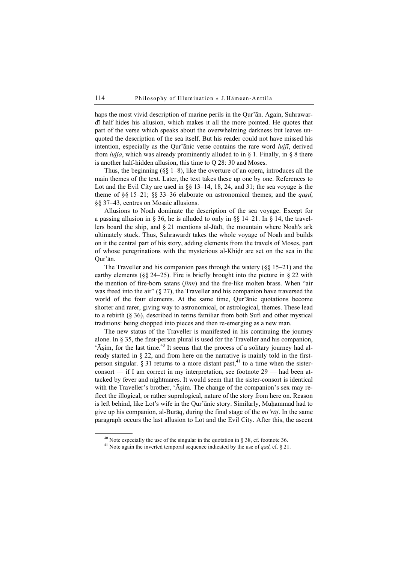haps the most vivid description of marine perils in the Qur'ān. Again, Suhrawardī half hides his allusion, which makes it all the more pointed. He quotes that part of the verse which speaks about the overwhelming darkness but leaves unquoted the description of the sea itself. But his reader could not have missed his intention, especially as the Qur'ānic verse contains the rare word  $luji\bar{i}$ , derived from *lujja*, which was already prominently alluded to in  $\S$  1. Finally, in  $\S$  8 there is another half-hidden allusion, this time to Q 28: 30 and Moses.

Thus, the beginning  $(\S \S 1-8)$ , like the overture of an opera, introduces all the main themes of the text. Later, the text takes these up one by one. References to Lot and the Evil City are used in §§ 13–14, 18, 24, and 31; the sea voyage is the theme of  $\S$ § 15–21;  $\S$ § 33–36 elaborate on astronomical themes; and the *qasd*, §§ 37–43, centres on Mosaic allusions.

Allusions to Noah dominate the description of the sea voyage. Except for a passing allusion in § 36, he is alluded to only in §§ 14–21. In § 14, the travellers board the ship, and § 21 mentions al-Jūdī, the mountain where Noah's ark ultimately stuck. Thus, Suhrawardī takes the whole voyage of Noah and builds on it the central part of his story, adding elements from the travels of Moses, part of whose peregrinations with the mysterious al-Khiḍr are set on the sea in the Qur'ān.

The Traveller and his companion pass through the watery  $(88 \text{ } 15-21)$  and the earthy elements ( $\S$ § 24–25). Fire is briefly brought into the picture in § 22 with the mention of fire-born satans (jinn) and the fire-like molten brass. When "air was freed into the air"  $(\S 27)$ , the Traveller and his companion have traversed the world of the four elements. At the same time, Qur'ānic quotations become shorter and rarer, giving way to astronomical, or astrological, themes. These lead to a rebirth (§ 36), described in terms familiar from both Sufi and other mystical traditions: being chopped into pieces and then re-emerging as a new man.

The new status of the Traveller is manifested in his continuing the journey alone. In  $\S 35$ , the first-person plural is used for the Traveller and his companion, 'Āṣim, for the last time.<sup>40</sup> It seems that the process of a solitary journey had already started in § 22, and from here on the narrative is mainly told in the firstperson singular.  $\zeta$  31 returns to a more distant past,<sup>41</sup> to a time when the sisterconsort — if I am correct in my interpretation, see footnote 29 — had been attacked by fever and nightmares. It would seem that the sister-consort is identical with the Traveller's brother, 'Aṣim. The change of the companion's sex may reflect the illogical, or rather supralogical, nature of the story from here on. Reason is left behind, like Lot's wife in the Qur'ānic story. Similarly, Muḥammad had to give up his companion, al-Burāq, during the final stage of the mi'rāj. In the same paragraph occurs the last allusion to Lot and the Evil City. After this, the ascent

<sup>&</sup>lt;sup>40</sup> Note especially the use of the singular in the quotation in § 38, cf. footnote 36. <sup>41</sup> Note again the inverted temporal sequence indicated by the use of *qad*, cf. § 21.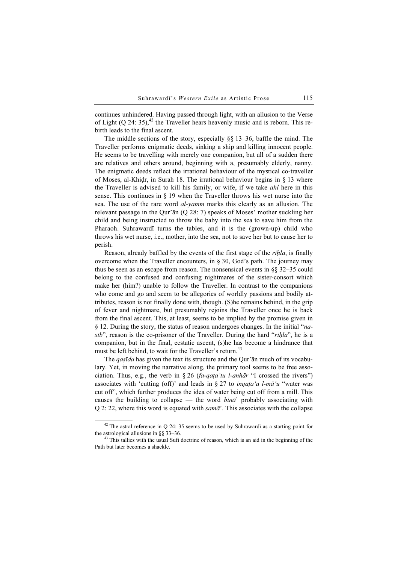continues unhindered. Having passed through light, with an allusion to the Verse of Light (Q 24: 35), $^{42}$  the Traveller hears heavenly music and is reborn. This rebirth leads to the final ascent.

The middle sections of the story, especially §§ 13–36, baffle the mind. The Traveller performs enigmatic deeds, sinking a ship and killing innocent people. He seems to be travelling with merely one companion, but all of a sudden there are relatives and others around, beginning with a, presumably elderly, nanny. The enigmatic deeds reflect the irrational behaviour of the mystical co-traveller of Moses, al-Khiḍr, in Surah 18. The irrational behaviour begins in § 13 where the Traveller is advised to kill his family, or wife, if we take ahl here in this sense. This continues in § 19 when the Traveller throws his wet nurse into the sea. The use of the rare word *al-yamm* marks this clearly as an allusion. The relevant passage in the Qur'ān (Q 28: 7) speaks of Moses' mother suckling her child and being instructed to throw the baby into the sea to save him from the Pharaoh. Suhrawardī turns the tables, and it is the (grown-up) child who throws his wet nurse, i.e., mother, into the sea, not to save her but to cause her to perish.

Reason, already baffled by the events of the first stage of the *rihla*, is finally overcome when the Traveller encounters, in § 30, God's path. The journey may thus be seen as an escape from reason. The nonsensical events in §§ 32–35 could belong to the confused and confusing nightmares of the sister-consort which make her (him?) unable to follow the Traveller. In contrast to the companions who come and go and seem to be allegories of worldly passions and bodily attributes, reason is not finally done with, though. (S)he remains behind, in the grip of fever and nightmare, but presumably rejoins the Traveller once he is back from the final ascent. This, at least, seems to be implied by the promise given in § 12. During the story, the status of reason undergoes changes. In the initial "nasīb", reason is the co-prisoner of the Traveller. During the hard "rihla", he is a companion, but in the final, ecstatic ascent, (s)he has become a hindrance that must be left behind, to wait for the Traveller's return.<sup>43</sup>

The *qasīda* has given the text its structure and the Our'an much of its vocabulary. Yet, in moving the narrative along, the primary tool seems to be free association. Thus, e.g., the verb in § 26 (fa-qaṭa'tu l-anhār "I crossed the rivers") associates with 'cutting (off)' and leads in § 27 to *inquita a l-ma 'u* "water was cut off", which further produces the idea of water being cut off from a mill. This causes the building to collapse — the word  $\phi$ ina<sup>3</sup> probably associating with Q 2: 22, where this word is equated with  $sam\bar{a}'$ . This associates with the collapse

 $42$  The astral reference in Q 24: 35 seems to be used by Suhrawardī as a starting point for the astrological allusions in §§ 33–36.<br><sup>43</sup> This tallies with the usual Sufi doctrine of reason, which is an aid in the beginning of the

Path but later becomes a shackle.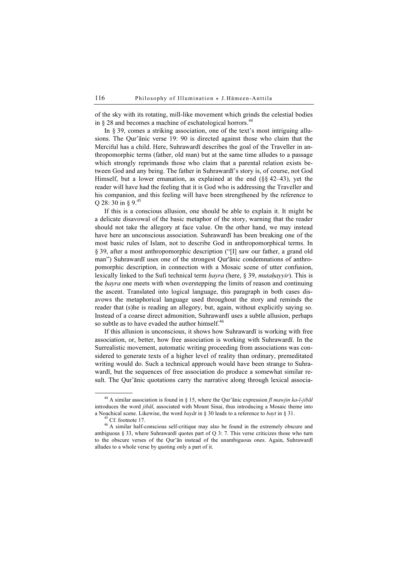of the sky with its rotating, mill-like movement which grinds the celestial bodies in  $\S 28$  and becomes a machine of eschatological horrors.<sup>44</sup>

In § 39, comes a striking association, one of the text's most intriguing allusions. The Qur'ānic verse 19: 90 is directed against those who claim that the Merciful has a child. Here, Suhrawardī describes the goal of the Traveller in anthropomorphic terms (father, old man) but at the same time alludes to a passage which strongly reprimands those who claim that a parental relation exists between God and any being. The father in Suhrawardī's story is, of course, not God Himself, but a lower emanation, as explained at the end (§§ 42–43), yet the reader will have had the feeling that it is God who is addressing the Traveller and his companion, and this feeling will have been strengthened by the reference to Q 28: 30 in  $\S$  9.<sup>45</sup>

If this is a conscious allusion, one should be able to explain it. It might be a delicate disavowal of the basic metaphor of the story, warning that the reader should not take the allegory at face value. On the other hand, we may instead have here an unconscious association. Suhrawardī has been breaking one of the most basic rules of Islam, not to describe God in anthropomorphical terms. In § 39, after a most anthropomorphic description ("[I] saw our father, a grand old man") Suhrawardī uses one of the strongest Qur'ānic condemnations of anthropomorphic description, in connection with a Mosaic scene of utter confusion, lexically linked to the Sufi technical term  $hayra$  (here, § 39, mutahayyir). This is the *hayra* one meets with when overstepping the limits of reason and continuing the ascent. Translated into logical language, this paragraph in both cases disavows the metaphorical language used throughout the story and reminds the reader that (s)he is reading an allegory, but, again, without explicitly saying so. Instead of a coarse direct admonition, Suhrawardī uses a subtle allusion, perhaps so subtle as to have evaded the author himself.<sup>46</sup>

If this allusion is unconscious, it shows how Suhrawardī is working with free association, or, better, how free association is working with Suhrawardī. In the Surrealistic movement, automatic writing proceeding from associations was considered to generate texts of a higher level of reality than ordinary, premeditated writing would do. Such a technical approach would have been strange to Suhrawardī, but the sequences of free association do produce a somewhat similar result. The Qur'ānic quotations carry the narrative along through lexical associa-

<sup>&</sup>lt;sup>44</sup> A similar association is found in § 15, where the Qur'anic expression fi mawjin ka-l-jibal introduces the word jibāl, associated with Mount Sinai, thus introducing a Mosaic theme into a Noachical scene. Likewise, the word *bayāt* in § 30 leads to a reference to *bayt* in § 31. <sup>45</sup> Cf. footnote 17.

<sup>46</sup> A similar half-conscious self-critique may also be found in the extremely obscure and ambiguous  $\S 33$ , where Suhrawardī quotes part of Q 3: 7. This verse criticizes those who turn to the obscure verses of the Qur'ān instead of the unambiguous ones. Again, Suhrawardī alludes to a whole verse by quoting only a part of it.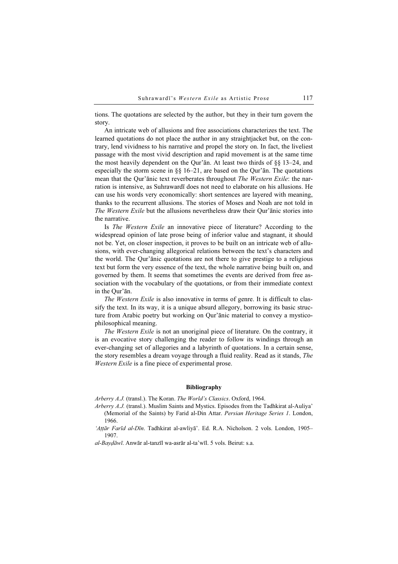tions. The quotations are selected by the author, but they in their turn govern the story.

An intricate web of allusions and free associations characterizes the text. The learned quotations do not place the author in any straightjacket but, on the contrary, lend vividness to his narrative and propel the story on. In fact, the liveliest passage with the most vivid description and rapid movement is at the same time the most heavily dependent on the Qur'ān. At least two thirds of §§ 13–24, and especially the storm scene in  $\S$ § 16–21, are based on the Qur'ān. The quotations mean that the Qur'ānic text reverberates throughout The Western Exile: the narration is intensive, as Suhrawardī does not need to elaborate on his allusions. He can use his words very economically: short sentences are layered with meaning, thanks to the recurrent allusions. The stories of Moses and Noah are not told in The Western Exile but the allusions nevertheless draw their Qur'ānic stories into the narrative.

Is The Western Exile an innovative piece of literature? According to the widespread opinion of late prose being of inferior value and stagnant, it should not be. Yet, on closer inspection, it proves to be built on an intricate web of allusions, with ever-changing allegorical relations between the text's characters and the world. The Qur'ānic quotations are not there to give prestige to a religious text but form the very essence of the text, the whole narrative being built on, and governed by them. It seems that sometimes the events are derived from free association with the vocabulary of the quotations, or from their immediate context in the Qur'ān.

The Western Exile is also innovative in terms of genre. It is difficult to classify the text. In its way, it is a unique absurd allegory, borrowing its basic structure from Arabic poetry but working on Qur'ānic material to convey a mysticophilosophical meaning.

The Western Exile is not an unoriginal piece of literature. On the contrary, it is an evocative story challenging the reader to follow its windings through an ever-changing set of allegories and a labyrinth of quotations. In a certain sense, the story resembles a dream voyage through a fluid reality. Read as it stands, The Western Exile is a fine piece of experimental prose.

# $\mathbf{B}$

Arberry A.J. (transl.). The Koran. The World's Classics. Oxford, 1964.

- Arberry A.J. (transl.). Muslim Saints and Mystics. Episodes from the Tadhkirat al-Auliya' (Memorial of the Saints) by Farid al-Din Attar. Persian Heritage Series 1. London, 1966.
- 'Aṭṭār Farīd al-Dīn. Tadhkirat al-awliyā'. Ed. R.A. Nicholson. 2 vols. London, 1905-1907.

al-Bayḍāwī. Anwār al-tanzīl wa-asrār al-ta'wīl. 5 vols. Beirut: s.a.